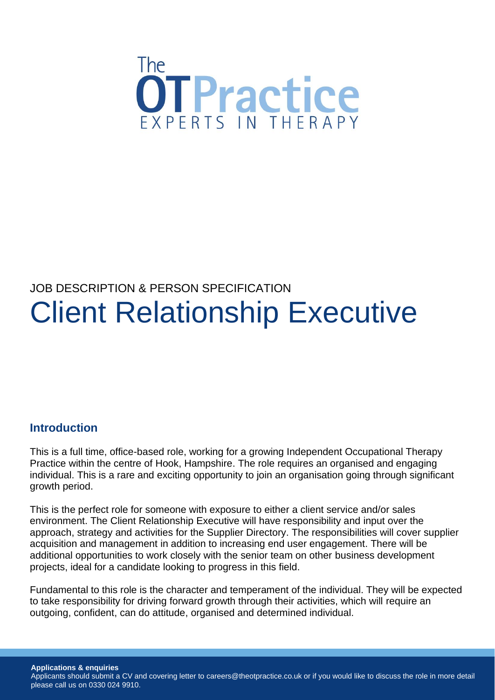

# JOB DESCRIPTION & PERSON SPECIFICATION Client Relationship Executive

#### **Introduction**

This is a full time, office-based role, working for a growing Independent Occupational Therapy Practice within the centre of Hook, Hampshire. The role requires an organised and engaging individual. This is a rare and exciting opportunity to join an organisation going through significant growth period.

This is the perfect role for someone with exposure to either a client service and/or sales environment. The Client Relationship Executive will have responsibility and input over the approach, strategy and activities for the Supplier Directory. The responsibilities will cover supplier acquisition and management in addition to increasing end user engagement. There will be additional opportunities to work closely with the senior team on other business development projects, ideal for a candidate looking to progress in this field.

Fundamental to this role is the character and temperament of the individual. They will be expected to take responsibility for driving forward growth through their activities, which will require an outgoing, confident, can do attitude, organised and determined individual.

**Applications & enquiries** Applicants should submit a CV and covering letter to careers@theotpractice.co.uk or if you would like to discuss the role in more detail please call us on 0330 024 9910.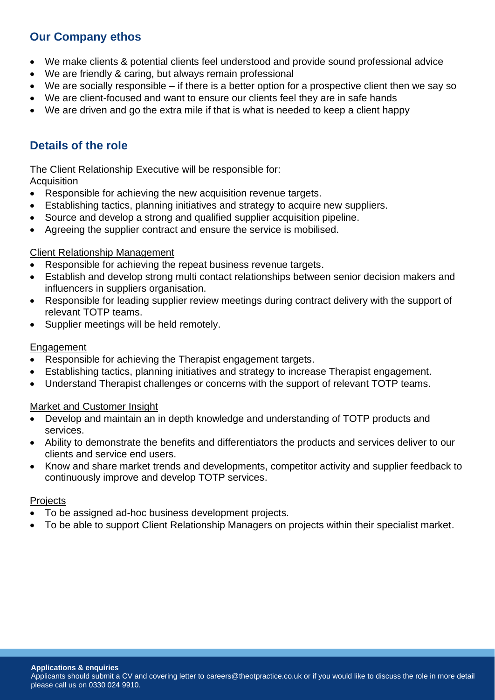# **Our Company ethos**

- We make clients & potential clients feel understood and provide sound professional advice
- We are friendly & caring, but always remain professional
- We are socially responsible if there is a better option for a prospective client then we say so
- We are client-focused and want to ensure our clients feel they are in safe hands
- We are driven and go the extra mile if that is what is needed to keep a client happy

# **Details of the role**

The Client Relationship Executive will be responsible for:

#### **Acquisition**

- Responsible for achieving the new acquisition revenue targets.
- Establishing tactics, planning initiatives and strategy to acquire new suppliers.
- Source and develop a strong and qualified supplier acquisition pipeline.
- Agreeing the supplier contract and ensure the service is mobilised.

#### Client Relationship Management

- Responsible for achieving the repeat business revenue targets.
- Establish and develop strong multi contact relationships between senior decision makers and influencers in suppliers organisation.
- Responsible for leading supplier review meetings during contract delivery with the support of relevant TOTP teams.
- Supplier meetings will be held remotely.

#### **Engagement**

- Responsible for achieving the Therapist engagement targets.
- Establishing tactics, planning initiatives and strategy to increase Therapist engagement.
- Understand Therapist challenges or concerns with the support of relevant TOTP teams.

#### Market and Customer Insight

- Develop and maintain an in depth knowledge and understanding of TOTP products and services.
- Ability to demonstrate the benefits and differentiators the products and services deliver to our clients and service end users.
- Know and share market trends and developments, competitor activity and supplier feedback to continuously improve and develop TOTP services.

#### **Projects**

- To be assigned ad-hoc business development projects.
- To be able to support Client Relationship Managers on projects within their specialist market.